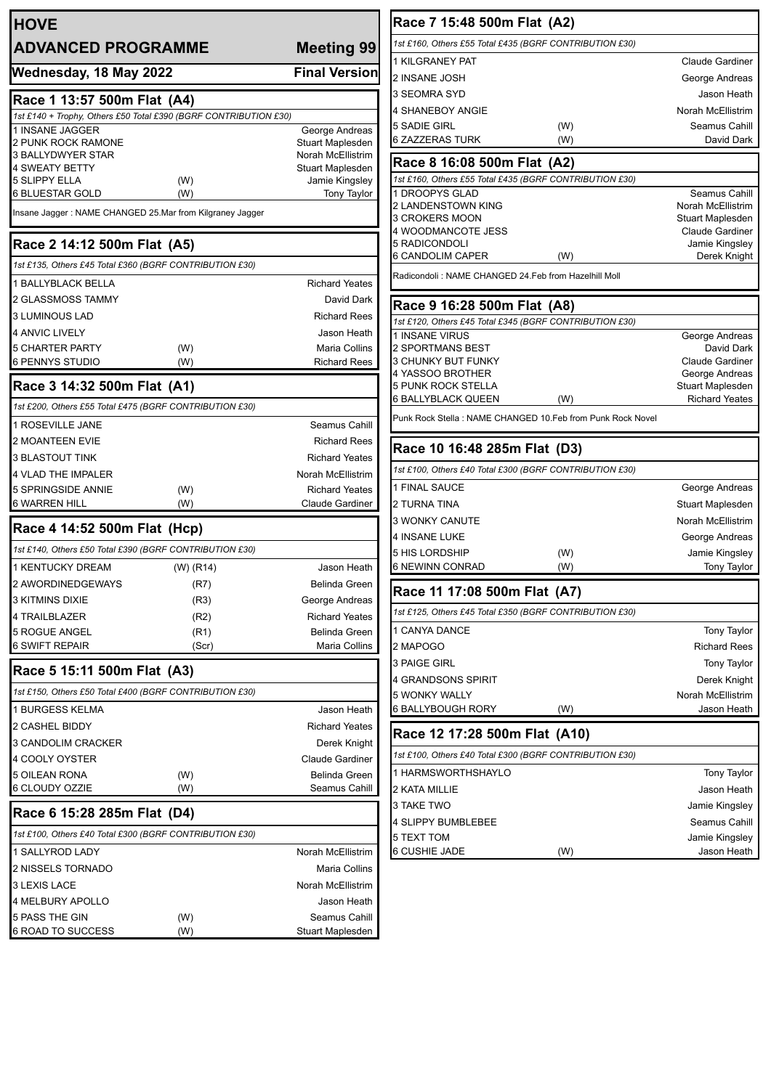| <b>HOVE</b>                                                      |                                                          |                                       |  |  |  |
|------------------------------------------------------------------|----------------------------------------------------------|---------------------------------------|--|--|--|
| <b>ADVANCED PROGRAMME</b>                                        |                                                          | <b>Meeting 99</b>                     |  |  |  |
| Wednesday, 18 May 2022                                           |                                                          | <b>Final Version</b>                  |  |  |  |
| Race 1 13:57 500m Flat (A4)                                      |                                                          |                                       |  |  |  |
| 1st £140 + Trophy, Others £50 Total £390 (BGRF CONTRIBUTION £30) |                                                          |                                       |  |  |  |
| 1 INSANE JAGGER                                                  |                                                          | George Andreas                        |  |  |  |
| 2 PUNK ROCK RAMONE                                               |                                                          | <b>Stuart Maplesden</b>               |  |  |  |
| 3 BALLYDWYER STAR<br>4 SWEATY BETTY                              |                                                          | Norah McEllistrim<br>Stuart Maplesden |  |  |  |
| <b>5 SLIPPY ELLA</b>                                             | (W)                                                      | Jamie Kingsley                        |  |  |  |
| <b>6 BLUESTAR GOLD</b>                                           | (W)                                                      | <b>Tony Taylor</b>                    |  |  |  |
|                                                                  | Insane Jagger: NAME CHANGED 25.Mar from Kilgraney Jagger |                                       |  |  |  |
| Race 2 14:12 500m Flat (A5)                                      |                                                          |                                       |  |  |  |
| 1st £135, Others £45 Total £360 (BGRF CONTRIBUTION £30)          |                                                          |                                       |  |  |  |
| <b>1 BALLYBLACK BELLA</b>                                        |                                                          | <b>Richard Yeates</b>                 |  |  |  |
| 2 GLASSMOSS TAMMY                                                |                                                          | David Dark                            |  |  |  |
| <b>3 LUMINOUS LAD</b>                                            |                                                          | <b>Richard Rees</b>                   |  |  |  |
| <b>4 ANVIC LIVELY</b>                                            |                                                          | Jason Heath                           |  |  |  |
| <b>5 CHARTER PARTY</b>                                           | (W)                                                      | Maria Collins                         |  |  |  |
| <b>6 PENNYS STUDIO</b>                                           | (W)                                                      | <b>Richard Rees</b>                   |  |  |  |
| Race 3 14:32 500m Flat (A1)                                      |                                                          |                                       |  |  |  |
| 1st £200, Others £55 Total £475 (BGRF CONTRIBUTION £30)          |                                                          |                                       |  |  |  |
| 1 ROSEVILLE JANE                                                 |                                                          | Seamus Cahill                         |  |  |  |
| <b>2 MOANTEEN EVIE</b>                                           |                                                          | <b>Richard Rees</b>                   |  |  |  |
| 3 BLASTOUT TINK                                                  |                                                          | <b>Richard Yeates</b>                 |  |  |  |
| <b>4 VLAD THE IMPALER</b>                                        |                                                          | <b>Norah McEllistrim</b>              |  |  |  |
| 5 SPRINGSIDE ANNIE                                               | (W)                                                      | <b>Richard Yeates</b>                 |  |  |  |
| <b>6 WARREN HILL</b>                                             | (W)                                                      | <b>Claude Gardiner</b>                |  |  |  |
| Race 4 14:52 500m Flat (Hcp)                                     |                                                          |                                       |  |  |  |
| 1st £140, Others £50 Total £390 (BGRF CONTRIBUTION £30)          |                                                          |                                       |  |  |  |
| 1 KENTUCKY DREAM                                                 | (W) (R14)                                                | Jason Heath                           |  |  |  |
| 2 AWORDINEDGEWAYS                                                | (R7)                                                     | Belinda Green                         |  |  |  |
| 3 KITMINS DIXIE                                                  | (R3)                                                     | George Andreas                        |  |  |  |
| 4 TRAILBLAZER                                                    | (R2)                                                     | <b>Richard Yeates</b>                 |  |  |  |
| 5 ROGUE ANGEL                                                    | (R1)                                                     | Belinda Green                         |  |  |  |
| <b>6 SWIFT REPAIR</b>                                            | (Scr)                                                    | Maria Collins                         |  |  |  |
| Race 5 15:11 500m Flat (A3)                                      |                                                          |                                       |  |  |  |
| 1st £150, Others £50 Total £400 (BGRF CONTRIBUTION £30)          |                                                          |                                       |  |  |  |
| 1 BURGESS KELMA                                                  |                                                          | Jason Heath                           |  |  |  |
| 2 CASHEL BIDDY                                                   |                                                          | <b>Richard Yeates</b>                 |  |  |  |
| 3 CANDOLIM CRACKER                                               |                                                          | Derek Knight                          |  |  |  |
| 4 COOLY OYSTER                                                   |                                                          | <b>Claude Gardiner</b>                |  |  |  |
| 5 OILEAN RONA                                                    | (W)                                                      | <b>Belinda Green</b>                  |  |  |  |
| 6 CLOUDY OZZIE                                                   | (W)                                                      | Seamus Cahill                         |  |  |  |
| Race 6 15:28 285m Flat (D4)                                      |                                                          |                                       |  |  |  |
| 1st £100, Others £40 Total £300 (BGRF CONTRIBUTION £30)          |                                                          |                                       |  |  |  |
| 1 SALLYROD LADY                                                  |                                                          | Norah McEllistrim                     |  |  |  |
| 2 NISSELS TORNADO                                                |                                                          | Maria Collins                         |  |  |  |
| 3 LEXIS LACE                                                     |                                                          | Norah McEllistrim                     |  |  |  |
| 4 MELBURY APOLLO                                                 |                                                          | Jason Heath                           |  |  |  |
| 5 PASS THE GIN                                                   | (W)                                                      | Seamus Cahill                         |  |  |  |
| 6 ROAD TO SUCCESS                                                | (W)                                                      | Stuart Maplesden                      |  |  |  |

| Race 7 15:48 500m Flat (A2)                                                             |                                    |  |  |
|-----------------------------------------------------------------------------------------|------------------------------------|--|--|
| 1st £160, Others £55 Total £435 (BGRF CONTRIBUTION £30)                                 |                                    |  |  |
| <b>1 KILGRANEY PAT</b>                                                                  | <b>Claude Gardiner</b>             |  |  |
| 2 INSANE JOSH                                                                           | George Andreas                     |  |  |
| 3 SEOMRA SYD                                                                            | Jason Heath                        |  |  |
| 4 SHANEBOY ANGIE                                                                        | Norah McEllistrim                  |  |  |
| 5 SADIE GIRL<br>(W)                                                                     | Seamus Cahill                      |  |  |
| 6 ZAZZERAS TURK<br>(W)                                                                  | David Dark                         |  |  |
| Race 8 16:08 500m Flat (A2)                                                             |                                    |  |  |
| 1st £160, Others £55 Total £435 (BGRF CONTRIBUTION £30)                                 |                                    |  |  |
| 1 DROOPYS GLAD                                                                          | Seamus Cahill<br>Norah McEllistrim |  |  |
| 2 LANDENSTOWN KING<br>3 CROKERS MOON                                                    | Stuart Maplesden                   |  |  |
| 4 WOODMANCOTE JESS                                                                      | <b>Claude Gardiner</b>             |  |  |
| 5 RADICONDOLI                                                                           | Jamie Kingsley                     |  |  |
| 6 CANDOLIM CAPER<br>(W)                                                                 | Derek Knight                       |  |  |
| Radicondoli: NAME CHANGED 24.Feb from Hazelhill Moll                                    |                                    |  |  |
| Race 9 16:28 500m Flat (A8)                                                             |                                    |  |  |
| 1st £120, Others £45 Total £345 (BGRF CONTRIBUTION £30)                                 |                                    |  |  |
| 1 INSANE VIRUS                                                                          | George Andreas                     |  |  |
| 2 SPORTMANS BEST                                                                        | David Dark                         |  |  |
| 3 CHUNKY BUT FUNKY<br>4 YASSOO BROTHER                                                  | Claude Gardiner<br>George Andreas  |  |  |
| 5 PUNK ROCK STELLA                                                                      | Stuart Maplesden                   |  |  |
| 6 BALLYBLACK QUEEN<br>(W)                                                               | <b>Richard Yeates</b>              |  |  |
| Punk Rock Stella: NAME CHANGED 10.Feb from Punk Rock Novel                              |                                    |  |  |
| Race 10 16:48 285m Flat (D3)                                                            |                                    |  |  |
|                                                                                         |                                    |  |  |
| 1st £100, Others £40 Total £300 (BGRF CONTRIBUTION £30)                                 |                                    |  |  |
| 1 FINAL SAUCE                                                                           | George Andreas                     |  |  |
| 2 TURNA TINA                                                                            | Stuart Maplesden                   |  |  |
| 3 WONKY CANUTE                                                                          | Norah McEllistrim                  |  |  |
| <b>4 INSANE LUKE</b>                                                                    |                                    |  |  |
| 5 HIS LORDSHIP                                                                          | George Andreas                     |  |  |
| (W)<br>6 NEWINN CONRAD<br>(W)                                                           | Jamie Kingsley<br>Tony Taylor      |  |  |
|                                                                                         |                                    |  |  |
| Race 11 17:08 500m Flat (A7)<br>1st £125, Others £45 Total £350 (BGRF CONTRIBUTION £30) |                                    |  |  |
|                                                                                         |                                    |  |  |
| 1 CANYA DANCE                                                                           | <b>Tony Taylor</b>                 |  |  |
| 2 MAPOGO                                                                                | <b>Richard Rees</b>                |  |  |
| 3 PAIGE GIRL                                                                            | Tony Taylor                        |  |  |
| 4 GRANDSONS SPIRIT                                                                      | Derek Knight                       |  |  |
| 5 WONKY WALLY<br>6 BALLYBOUGH RORY<br>(W)                                               | Norah McEllistrim<br>Jason Heath   |  |  |
|                                                                                         |                                    |  |  |
| Race 12 17:28 500m Flat (A10)                                                           |                                    |  |  |
| 1st £100, Others £40 Total £300 (BGRF CONTRIBUTION £30)                                 |                                    |  |  |
| 1 HARMSWORTHSHAYLO                                                                      | <b>Tony Taylor</b>                 |  |  |
| 2 KATA MILLIE                                                                           | Jason Heath                        |  |  |
| 3 TAKE TWO                                                                              | Jamie Kingsley                     |  |  |
| 4 SLIPPY BUMBLEBEE                                                                      | Seamus Cahill                      |  |  |
| 5 TEXT TOM<br>6 CUSHIE JADE<br>(W)                                                      | Jamie Kingsley<br>Jason Heath      |  |  |